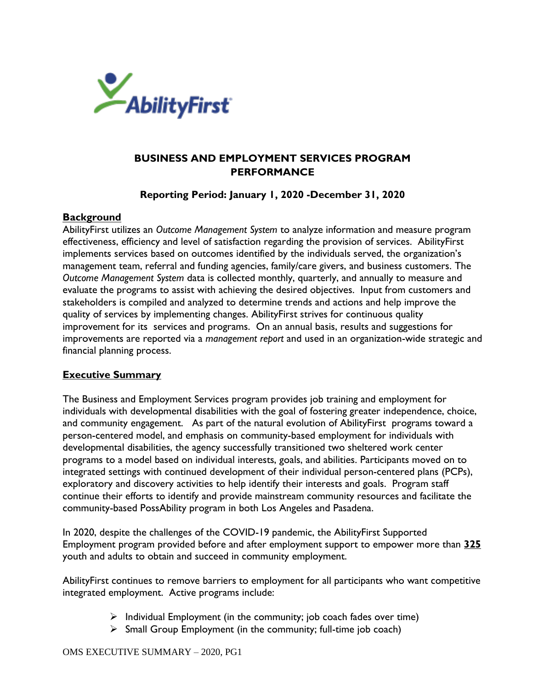

# **BUSINESS AND EMPLOYMENT SERVICES PROGRAM PERFORMANCE**

**Reporting Period: January 1, 2020 -December 31, 2020**

#### **Background**

AbilityFirst utilizes an *Outcome Management System* to analyze information and measure program effectiveness, efficiency and level of satisfaction regarding the provision of services. AbilityFirst implements services based on outcomes identified by the individuals served, the organization's management team, referral and funding agencies, family/care givers, and business customers. The *Outcome Management System* data is collected monthly, quarterly, and annually to measure and evaluate the programs to assist with achieving the desired objectives. Input from customers and stakeholders is compiled and analyzed to determine trends and actions and help improve the quality of services by implementing changes. AbilityFirst strives for continuous quality improvement for its services and programs. On an annual basis, results and suggestions for improvements are reported via a *management report* and used in an organization-wide strategic and financial planning process.

### **Executive Summary**

The Business and Employment Services program provides job training and employment for individuals with developmental disabilities with the goal of fostering greater independence, choice, and community engagement. As part of the natural evolution of AbilityFirst programs toward a person-centered model, and emphasis on community-based employment for individuals with developmental disabilities, the agency successfully transitioned two sheltered work center programs to a model based on individual interests, goals, and abilities. Participants moved on to integrated settings with continued development of their individual person-centered plans (PCPs), exploratory and discovery activities to help identify their interests and goals. Program staff continue their efforts to identify and provide mainstream community resources and facilitate the community-based PossAbility program in both Los Angeles and Pasadena.

In 2020, despite the challenges of the COVID-19 pandemic, the AbilityFirst Supported Employment program provided before and after employment support to empower more than **325** youth and adults to obtain and succeed in community employment.

AbilityFirst continues to remove barriers to employment for all participants who want competitive integrated employment. Active programs include:

- $\triangleright$  Individual Employment (in the community; job coach fades over time)
- $\triangleright$  Small Group Employment (in the community; full-time job coach)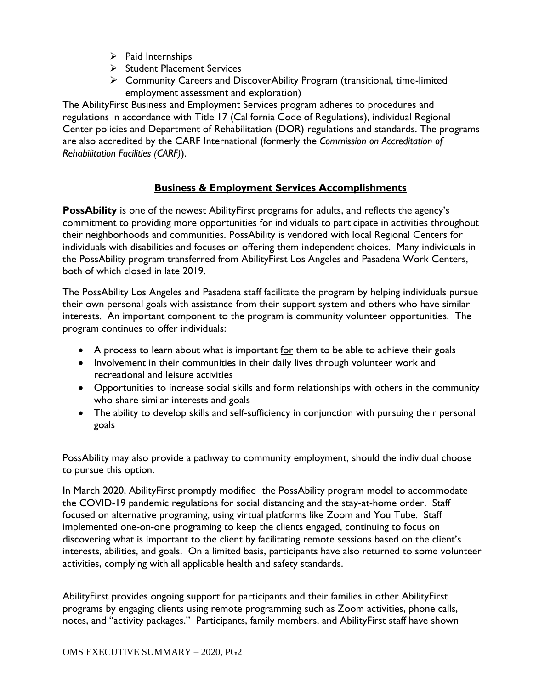- ➢ Paid Internships
- ➢ Student Placement Services
- ➢ Community Careers and DiscoverAbility Program (transitional, time-limited employment assessment and exploration)

The AbilityFirst Business and Employment Services program adheres to procedures and regulations in accordance with Title 17 (California Code of Regulations), individual Regional Center policies and Department of Rehabilitation (DOR) regulations and standards. The programs are also accredited by the CARF International (formerly the *Commission on Accreditation of Rehabilitation Facilities (CARF)*).

# **Business & Employment Services Accomplishments**

**PossAbility** is one of the newest AbilityFirst programs for adults, and reflects the agency's commitment to providing more opportunities for individuals to participate in activities throughout their neighborhoods and communities. PossAbility is vendored with local Regional Centers for individuals with disabilities and focuses on offering them independent choices. Many individuals in the PossAbility program transferred from AbilityFirst Los Angeles and Pasadena Work Centers, both of which closed in late 2019.

The PossAbility Los Angeles and Pasadena staff facilitate the program by helping individuals pursue their own personal goals with assistance from their support system and others who have similar interests. An important component to the program is community volunteer opportunities. The program continues to offer individuals:

- A process to learn about what is important for them to be able to achieve their goals
- Involvement in their communities in their daily lives through volunteer work and recreational and leisure activities
- Opportunities to increase social skills and form relationships with others in the community who share similar interests and goals
- The ability to develop skills and self-sufficiency in conjunction with pursuing their personal goals

PossAbility may also provide a pathway to community employment, should the individual choose to pursue this option.

In March 2020, AbilityFirst promptly modified the PossAbility program model to accommodate the COVID-19 pandemic regulations for social distancing and the stay-at-home order. Staff focused on alternative programing, using virtual platforms like Zoom and You Tube. Staff implemented one-on-one programing to keep the clients engaged, continuing to focus on discovering what is important to the client by facilitating remote sessions based on the client's interests, abilities, and goals. On a limited basis, participants have also returned to some volunteer activities, complying with all applicable health and safety standards.

AbilityFirst provides ongoing support for participants and their families in other AbilityFirst programs by engaging clients using remote programming such as Zoom activities, phone calls, notes, and "activity packages." Participants, family members, and AbilityFirst staff have shown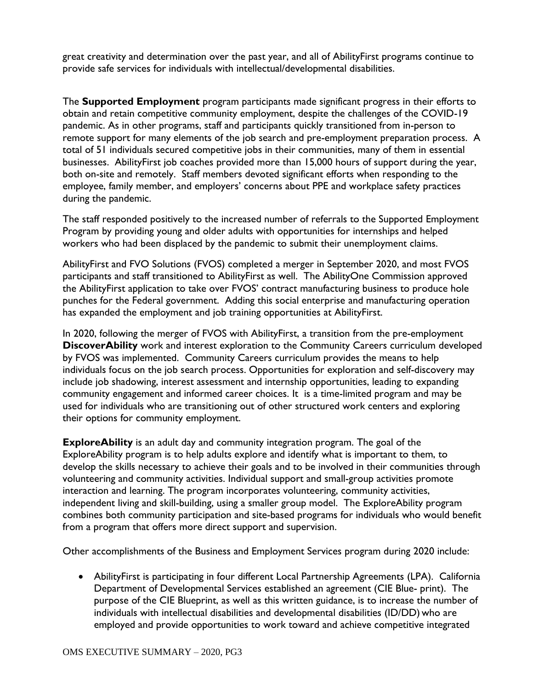great creativity and determination over the past year, and all of AbilityFirst programs continue to provide safe services for individuals with intellectual/developmental disabilities.

The **Supported Employment** program participants made significant progress in their efforts to obtain and retain competitive community employment, despite the challenges of the COVID-19 pandemic. As in other programs, staff and participants quickly transitioned from in-person to remote support for many elements of the job search and pre-employment preparation process. A total of 51 individuals secured competitive jobs in their communities, many of them in essential businesses. AbilityFirst job coaches provided more than 15,000 hours of support during the year, both on-site and remotely. Staff members devoted significant efforts when responding to the employee, family member, and employers' concerns about PPE and workplace safety practices during the pandemic.

The staff responded positively to the increased number of referrals to the Supported Employment Program by providing young and older adults with opportunities for internships and helped workers who had been displaced by the pandemic to submit their unemployment claims.

AbilityFirst and FVO Solutions (FVOS) completed a merger in September 2020, and most FVOS participants and staff transitioned to AbilityFirst as well. The AbilityOne Commission approved the AbilityFirst application to take over FVOS' contract manufacturing business to produce hole punches for the Federal government. Adding this social enterprise and manufacturing operation has expanded the employment and job training opportunities at AbilityFirst.

In 2020, following the merger of FVOS with AbilityFirst, a transition from the pre-employment **DiscoverAbility** work and interest exploration to the Community Careers curriculum developed by FVOS was implemented. Community Careers curriculum provides the means to help individuals focus on the job search process. Opportunities for exploration and self-discovery may include job shadowing, interest assessment and internship opportunities, leading to expanding community engagement and informed career choices. It is a time-limited program and may be used for individuals who are transitioning out of other structured work centers and exploring their options for community employment.

**ExploreAbility** is an adult day and community integration program. The goal of the ExploreAbility program is to help adults explore and identify what is important to them, to develop the skills necessary to achieve their goals and to be involved in their communities through volunteering and community activities. Individual support and small-group activities promote interaction and learning. The program incorporates volunteering, community activities, independent living and skill-building, using a smaller group model. The ExploreAbility program combines both community participation and site-based programs for individuals who would benefit from a program that offers more direct support and supervision.

Other accomplishments of the Business and Employment Services program during 2020 include:

• AbilityFirst is participating in four different Local Partnership Agreements (LPA). California Department of Developmental Services established an agreement (CIE Blue- print). The purpose of the CIE Blueprint, as well as this written guidance, is to increase the number of individuals with intellectual disabilities and developmental disabilities (ID/DD) who are employed and provide opportunities to work toward and achieve competitive integrated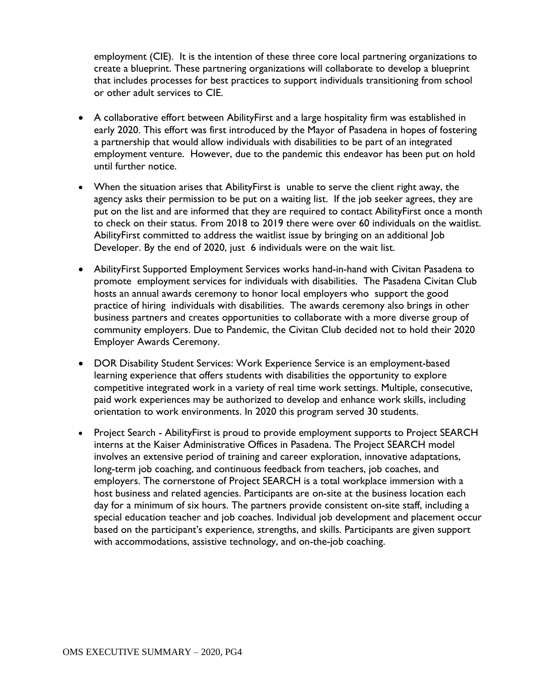employment (CIE). It is the intention of these three core local partnering organizations to create a blueprint. These partnering organizations will collaborate to develop a blueprint that includes processes for best practices to support individuals transitioning from school or other adult services to CIE.

- A collaborative effort between AbilityFirst and a large hospitality firm was established in early 2020. This effort was first introduced by the Mayor of Pasadena in hopes of fostering a partnership that would allow individuals with disabilities to be part of an integrated employment venture. However, due to the pandemic this endeavor has been put on hold until further notice.
- When the situation arises that AbilityFirst is unable to serve the client right away, the agency asks their permission to be put on a waiting list. If the job seeker agrees, they are put on the list and are informed that they are required to contact AbilityFirst once a month to check on their status. From 2018 to 2019 there were over 60 individuals on the waitlist. AbilityFirst committed to address the waitlist issue by bringing on an additional Job Developer. By the end of 2020, just 6 individuals were on the wait list.
- AbilityFirst Supported Employment Services works hand-in-hand with Civitan Pasadena to promote employment services for individuals with disabilities. The Pasadena Civitan Club hosts an annual awards ceremony to honor local employers who support the good practice of hiring individuals with disabilities. The awards ceremony also brings in other business partners and creates opportunities to collaborate with a more diverse group of community employers. Due to Pandemic, the Civitan Club decided not to hold their 2020 Employer Awards Ceremony.
- DOR Disability Student Services: Work Experience Service is an employment-based learning experience that offers students with disabilities the opportunity to explore competitive integrated work in a variety of real time work settings. Multiple, consecutive, paid work experiences may be authorized to develop and enhance work skills, including orientation to work environments. In 2020 this program served 30 students.
- Project Search Ability First is proud to provide employment supports to Project SEARCH interns at the Kaiser Administrative Offices in Pasadena. The Project SEARCH model involves an extensive period of training and career exploration, innovative adaptations, long-term job coaching, and continuous feedback from teachers, job coaches, and employers. The cornerstone of Project SEARCH is a total workplace immersion with a host business and related agencies. Participants are on-site at the business location each day for a minimum of six hours. The partners provide consistent on-site staff, including a special education teacher and job coaches. Individual job development and placement occur based on the participant's experience, strengths, and skills. Participants are given support with accommodations, assistive technology, and on-the-job coaching.